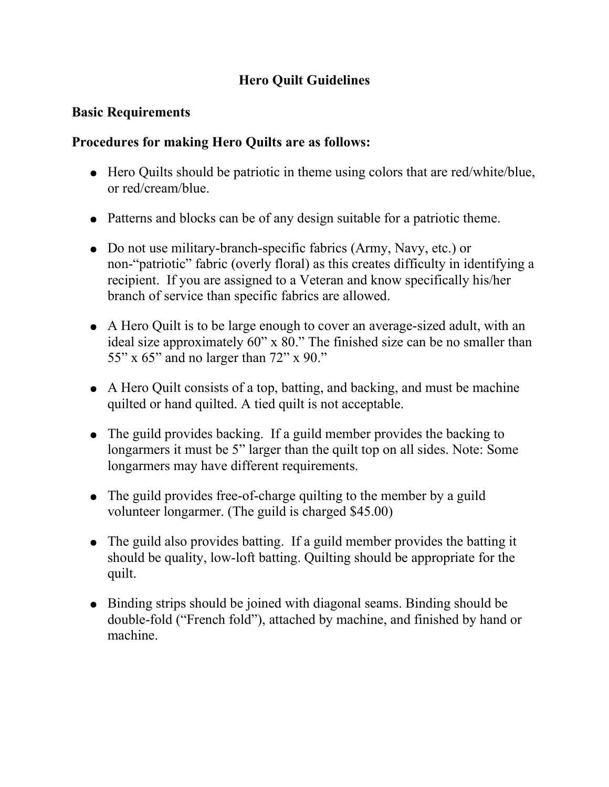# **Hero Quilt Guidelines**

## **Basic Requirements**

### **Procedures for making Hero Quilts are as follows:**

- Hero Quilts should be patriotic in theme using colors that are red/white/blue, or red/cream/blue.
- Patterns and blocks can be of any design suitable for a patriotic theme.
- Do not use military-branch-specific fabrics (Army, Navy, etc.) or non-"patriotic" fabric (overly floral) as this creates difficulty in identifying a recipient. If you are assigned to a Veteran and know specifically his/her branch of service than specific fabrics are allowed.
- A Hero Quilt is to be large enough to cover an average-sized adult, with an ideal size approximately 60" x 80." The finished size can be no smaller than 55" x 65" and no larger than 72" x 90."
- A Hero Quilt consists of a top, batting, and backing, and must be machine quilted or hand quilted. A tied quilt is not acceptable.
- The guild provides backing. If a guild member provides the backing to longarmers it must be 5" larger than the quilt top on all sides. Note: Some longarmers may have different requirements.
- The guild provides free-of-charge quilting to the member by a guild volunteer longarmer. (The guild is charged \$45.00)
- The guild also provides batting. If a guild member provides the batting it should be quality, low-loft batting. Quilting should be appropriate for the quilt.
- Binding strips should be joined with diagonal seams. Binding should be double-fold ("French fold"), attached by machine, and finished by hand or machine.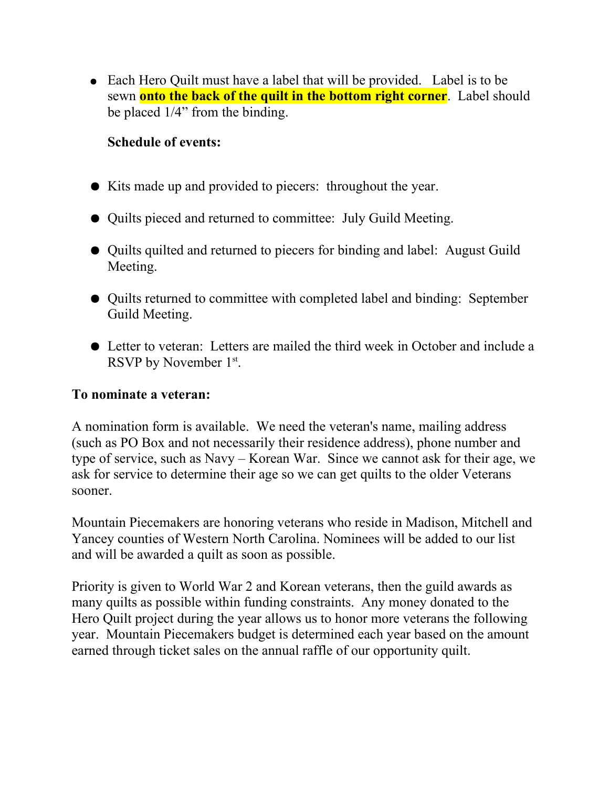• Each Hero Quilt must have a label that will be provided. Label is to be sewn **onto the back of the quilt in the bottom right corner**. Label should be placed 1/4" from the binding.

## **Schedule of events:**

- Kits made up and provided to piecers: throughout the year.
- Quilts pieced and returned to committee: July Guild Meeting.
- Quilts quilted and returned to piecers for binding and label: August Guild Meeting.
- Quilts returned to committee with completed label and binding: September Guild Meeting.
- Letter to veteran: Letters are mailed the third week in October and include a RSVP by November 1st.

#### **To nominate a veteran:**

A nomination form is available. We need the veteran's name, mailing address (such as PO Box and not necessarily their residence address), phone number and type of service, such as Navy – Korean War. Since we cannot ask for their age, we ask for service to determine their age so we can get quilts to the older Veterans sooner.

Mountain Piecemakers are honoring veterans who reside in Madison, Mitchell and Yancey counties of Western North Carolina. Nominees will be added to our list and will be awarded a quilt as soon as possible.

Priority is given to World War 2 and Korean veterans, then the guild awards as many quilts as possible within funding constraints. Any money donated to the Hero Quilt project during the year allows us to honor more veterans the following year. Mountain Piecemakers budget is determined each year based on the amount earned through ticket sales on the annual raffle of our opportunity quilt.